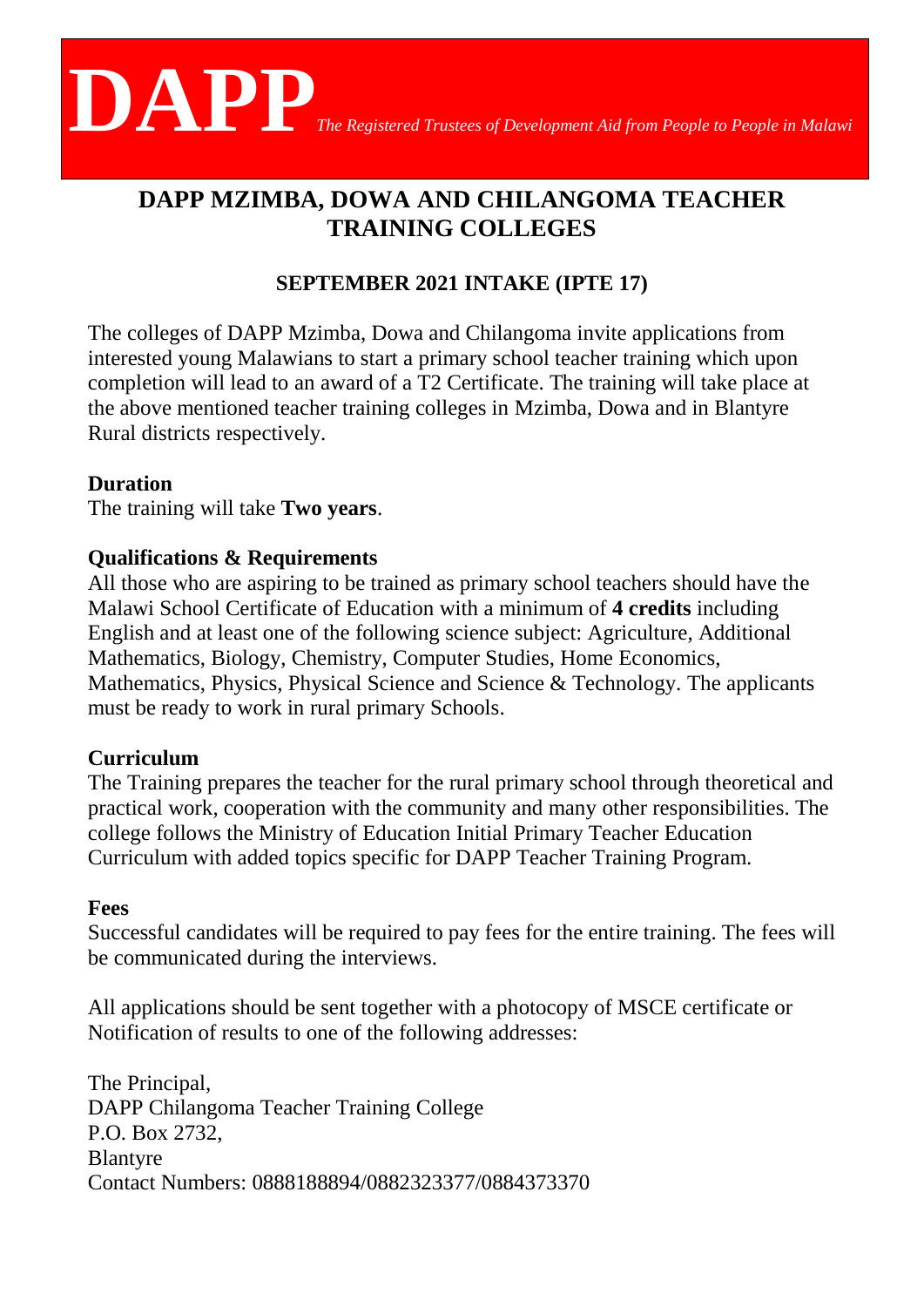

# **DAPP MZIMBA, DOWA AND CHILANGOMA TEACHER TRAINING COLLEGES**

# **SEPTEMBER 2021 INTAKE (IPTE 17)**

The colleges of DAPP Mzimba, Dowa and Chilangoma invite applications from interested young Malawians to start a primary school teacher training which upon completion will lead to an award of a T2 Certificate. The training will take place at the above mentioned teacher training colleges in Mzimba, Dowa and in Blantyre Rural districts respectively.

## **Duration**

The training will take **Two years**.

## **Qualifications & Requirements**

All those who are aspiring to be trained as primary school teachers should have the Malawi School Certificate of Education with a minimum of **4 credits** including English and at least one of the following science subject: Agriculture, Additional Mathematics, Biology, Chemistry, Computer Studies, Home Economics, Mathematics, Physics, Physical Science and Science & Technology. The applicants must be ready to work in rural primary Schools.

#### **Curriculum**

The Training prepares the teacher for the rural primary school through theoretical and practical work, cooperation with the community and many other responsibilities. The college follows the Ministry of Education Initial Primary Teacher Education Curriculum with added topics specific for DAPP Teacher Training Program.

#### **Fees**

Successful candidates will be required to pay fees for the entire training. The fees will be communicated during the interviews.

All applications should be sent together with a photocopy of MSCE certificate or Notification of results to one of the following addresses:

The Principal, DAPP Chilangoma Teacher Training College P.O. Box 2732, Blantyre Contact Numbers: 0888188894/0882323377/0884373370